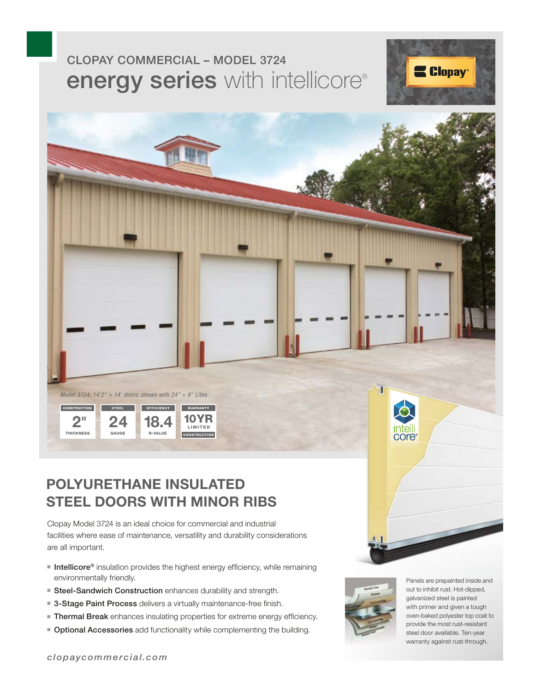# energy series with intellicore® CLOPAY COMMERCIAL – MODEL 3724





## **POLYURETHANE INSULATED STEEL DOORS WITH MINOR RIBS**

Clopay Model 3724 is an ideal choice for commercial and industrial facilities where ease of maintenance, versatility and durability considerations are all important.

- Intellicore® insulation provides the highest energy efficiency, while remaining environmentally friendly.
- Steel-Sandwich Construction enhances durability and strength.
- 3-Stage Paint Process delivers a virtually maintenance-free finish.
- Thermal Break enhances insulating properties for extreme energy efficiency.
- Optional Accessories add functionality while complementing the building.



Panels are prepainted inside and out to inhibit rust. Hot-dipped, galvanized steel is painted with primer and given a tough oven-baked polyester top coat to provide the most rust-resistant steel door available. Ten-year warranty against rust-through.